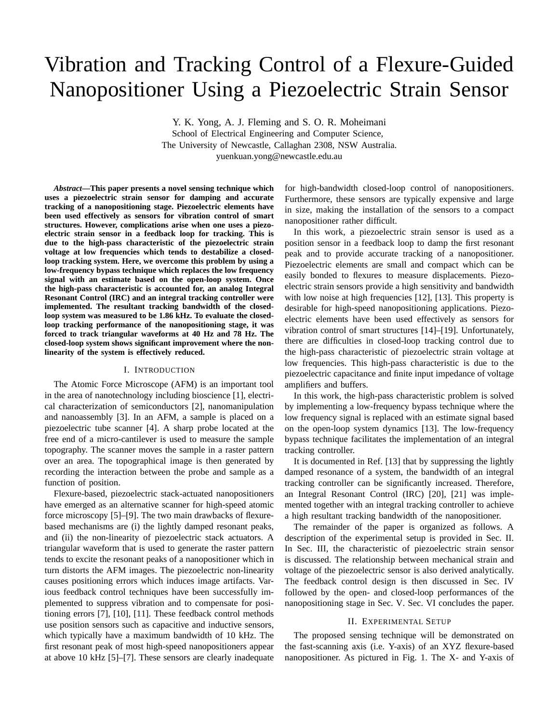# Vibration and Tracking Control of a Flexure-Guided Nanopositioner Using a Piezoelectric Strain Sensor

Y. K. Yong, A. J. Fleming and S. O. R. Moheimani School of Electrical Engineering and Computer Science, The University of Newcastle, Callaghan 2308, NSW Australia. yuenkuan.yong@newcastle.edu.au

*Abstract***—This paper presents a novel sensing technique which uses a piezoelectric strain sensor for damping and accurate tracking of a nanopositioning stage. Piezoelectric elements have been used effectively as sensors for vibration control of smart structures. However, complications arise when one uses a piezoelectric strain sensor in a feedback loop for tracking. This is due to the high-pass characteristic of the piezoelectric strain voltage at low frequencies which tends to destabilize a closedloop tracking system. Here, we overcome this problem by using a low-frequency bypass technique which replaces the low frequency signal with an estimate based on the open-loop system. Once the high-pass characteristic is accounted for, an analog Integral Resonant Control (IRC) and an integral tracking controller were implemented. The resultant tracking bandwidth of the closedloop system was measured to be 1.86 kHz. To evaluate the closedloop tracking performance of the nanopositioning stage, it was forced to track triangular waveforms at 40 Hz and 78 Hz. The closed-loop system shows significant improvement where the nonlinearity of the system is effectively reduced.**

#### I. INTRODUCTION

The Atomic Force Microscope (AFM) is an important tool in the area of nanotechnology including bioscience [1], electrical characterization of semiconductors [2], nanomanipulation and nanoassembly [3]. In an AFM, a sample is placed on a piezoelectric tube scanner [4]. A sharp probe located at the free end of a micro-cantilever is used to measure the sample topography. The scanner moves the sample in a raster pattern over an area. The topographical image is then generated by recording the interaction between the probe and sample as a function of position.

Flexure-based, piezoelectric stack-actuated nanopositioners have emerged as an alternative scanner for high-speed atomic force microscopy [5]–[9]. The two main drawbacks of flexurebased mechanisms are (i) the lightly damped resonant peaks, and (ii) the non-linearity of piezoelectric stack actuators. A triangular waveform that is used to generate the raster pattern tends to excite the resonant peaks of a nanopositioner which in turn distorts the AFM images. The piezoelectric non-linearity causes positioning errors which induces image artifacts. Various feedback control techniques have been successfully implemented to suppress vibration and to compensate for positioning errors [7], [10], [11]. These feedback control methods use position sensors such as capacitive and inductive sensors, which typically have a maximum bandwidth of 10 kHz. The first resonant peak of most high-speed nanopositioners appear at above 10 kHz [5]–[7]. These sensors are clearly inadequate

for high-bandwidth closed-loop control of nanopositioners. Furthermore, these sensors are typically expensive and large in size, making the installation of the sensors to a compact nanopositioner rather difficult.

In this work, a piezoelectric strain sensor is used as a position sensor in a feedback loop to damp the first resonant peak and to provide accurate tracking of a nanopositioner. Piezoelectric elements are small and compact which can be easily bonded to flexures to measure displacements. Piezoelectric strain sensors provide a high sensitivity and bandwidth with low noise at high frequencies [12], [13]. This property is desirable for high-speed nanopositioning applications. Piezoelectric elements have been used effectively as sensors for vibration control of smart structures [14]–[19]. Unfortunately, there are difficulties in closed-loop tracking control due to the high-pass characteristic of piezoelectric strain voltage at low frequencies. This high-pass characteristic is due to the piezoelectric capacitance and finite input impedance of voltage amplifiers and buffers.

In this work, the high-pass characteristic problem is solved by implementing a low-frequency bypass technique where the low frequency signal is replaced with an estimate signal based on the open-loop system dynamics [13]. The low-frequency bypass technique facilitates the implementation of an integral tracking controller.

It is documented in Ref. [13] that by suppressing the lightly damped resonance of a system, the bandwidth of an integral tracking controller can be significantly increased. Therefore, an Integral Resonant Control (IRC) [20], [21] was implemented together with an integral tracking controller to achieve a high resultant tracking bandwidth of the nanopositioner.

The remainder of the paper is organized as follows. A description of the experimental setup is provided in Sec. II. In Sec. III, the characteristic of piezoelectric strain sensor is discussed. The relationship between mechanical strain and voltage of the piezoelectric sensor is also derived analytically. The feedback control design is then discussed in Sec. IV followed by the open- and closed-loop performances of the nanopositioning stage in Sec. V. Sec. VI concludes the paper.

### II. EXPERIMENTAL SETUP

The proposed sensing technique will be demonstrated on the fast-scanning axis (i.e. Y-axis) of an XYZ flexure-based nanopositioner. As pictured in Fig. 1. The X- and Y-axis of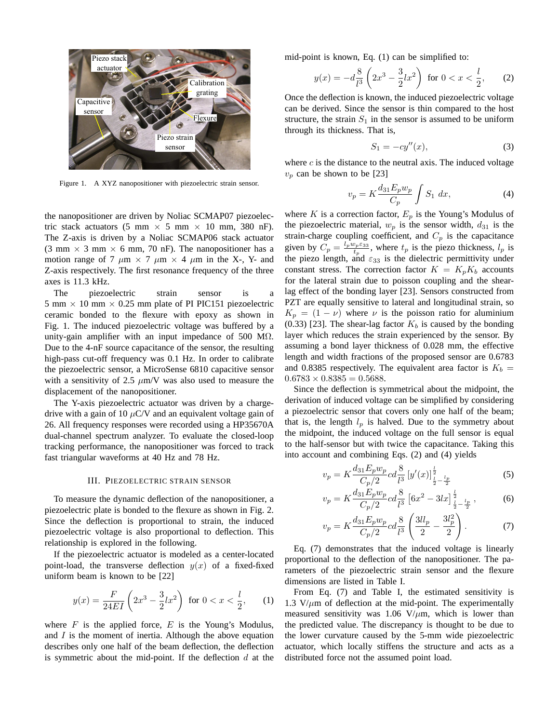

Figure 1. A XYZ nanopositioner with piezoelectric strain sensor.

the nanopositioner are driven by Noliac SCMAP07 piezoelectric stack actuators (5 mm  $\times$  5 mm  $\times$  10 mm, 380 nF). The Z-axis is driven by a Noliac SCMAP06 stack actuator (3 mm  $\times$  3 mm  $\times$  6 mm, 70 nF). The nanopositioner has a motion range of 7  $\mu$ m  $\times$  7  $\mu$ m  $\times$  4  $\mu$ m in the X-, Y- and Z-axis respectively. The first resonance frequency of the three axes is 11.3 kHz.

The piezoelectric strain sensor is a 5 mm  $\times$  10 mm  $\times$  0.25 mm plate of PI PIC151 piezoelectric ceramic bonded to the flexure with epoxy as shown in Fig. 1. The induced piezoelectric voltage was buffered by a unity-gain amplifier with an input impedance of 500 M $\Omega$ . Due to the 4-nF source capacitance of the sensor, the resulting high-pass cut-off frequency was 0.1 Hz. In order to calibrate the piezoelectric sensor, a MicroSense 6810 capacitive sensor with a sensitivity of 2.5  $\mu$ m/V was also used to measure the displacement of the nanopositioner.

The Y-axis piezoelectric actuator was driven by a chargedrive with a gain of 10  $\mu$ C/V and an equivalent voltage gain of 26. All frequency responses were recorded using a HP35670A dual-channel spectrum analyzer. To evaluate the closed-loop tracking performance, the nanopositioner was forced to track fast triangular waveforms at 40 Hz and 78 Hz.

## III. PIEZOELECTRIC STRAIN SENSOR

To measure the dynamic deflection of the nanopositioner, a piezoelectric plate is bonded to the flexure as shown in Fig. 2. Since the deflection is proportional to strain, the induced piezoelectric voltage is also proportional to deflection. This relationship is explored in the following.

If the piezoelectric actuator is modeled as a center-located point-load, the transverse deflection  $y(x)$  of a fixed-fixed uniform beam is known to be [22]

$$
y(x) = \frac{F}{24EI} \left( 2x^3 - \frac{3}{2}lx^2 \right) \text{ for } 0 < x < \frac{l}{2}, \qquad (1)
$$

where  $F$  is the applied force,  $E$  is the Young's Modulus, and I is the moment of inertia. Although the above equation describes only one half of the beam deflection, the deflection is symmetric about the mid-point. If the deflection  $d$  at the mid-point is known, Eq. (1) can be simplified to:

$$
y(x) = -d\frac{8}{l^3} \left(2x^3 - \frac{3}{2}lx^2\right) \text{ for } 0 < x < \frac{l}{2},\qquad(2)
$$

Once the deflection is known, the induced piezoelectric voltage can be derived. Since the sensor is thin compared to the host structure, the strain  $S_1$  in the sensor is assumed to be uniform through its thickness. That is,

$$
S_1 = -cy''(x),\tag{3}
$$

where  $c$  is the distance to the neutral axis. The induced voltage  $v_p$  can be shown to be [23]

$$
v_p = K \frac{d_{31} E_p w_p}{C_p} \int S_1 dx,
$$
\n(4)

where K is a correction factor,  $E_p$  is the Young's Modulus of the piezoelectric material,  $w_p$  is the sensor width,  $d_{31}$  is the strain-charge coupling coefficient, and  $C_p$  is the capacitance given by  $C_p = \frac{l_p w_p \varepsilon_{33}}{t_p}$  $t_p^{\frac{p_p}{e_{33}}}$ , where  $t_p$  is the piezo thickness,  $l_p$  is the piezo length, and  $\varepsilon_{33}$  is the dielectric permittivity under constant stress. The correction factor  $K = K_p K_b$  accounts for the lateral strain due to poisson coupling and the shearlag effect of the bonding layer [23]. Sensors constructed from PZT are equally sensitive to lateral and longitudinal strain, so  $K_p = (1 - \nu)$  where  $\nu$  is the poisson ratio for aluminium  $(0.33)$  [23]. The shear-lag factor  $K_b$  is caused by the bonding layer which reduces the strain experienced by the sensor. By assuming a bond layer thickness of 0.028 mm, the effective length and width fractions of the proposed sensor are 0.6783 and 0.8385 respectively. The equivalent area factor is  $K_b =$  $0.6783 \times 0.8385 = 0.5688.$ 

Since the deflection is symmetrical about the midpoint, the derivation of induced voltage can be simplified by considering a piezoelectric sensor that covers only one half of the beam; that is, the length  $l_p$  is halved. Due to the symmetry about the midpoint, the induced voltage on the full sensor is equal to the half-sensor but with twice the capacitance. Taking this into account and combining Eqs. (2) and (4) yields

$$
v_p = K \frac{d_{31} E_p w_p}{C_p/2} c d_{\overline{l}^3}^8 \left[ y'(x) \right]_{\frac{1}{2} - \frac{l_p}{2}}^{\frac{1}{2}}
$$
 (5)

$$
v_p = K \frac{d_{31} E_p w_p}{C_p/2} c d_{\overline{l}^3}^8 \left[ 6x^2 - 3lx \right]_{\frac{1}{2} - \frac{l_p}{2}}^{\frac{l}{2}},\tag{6}
$$

$$
v_p = K \frac{d_{31} E_p w_p}{C_p/2} c d_{\overline{l}}^8 \left( \frac{3ll_p}{2} - \frac{3l_p^2}{2} \right). \tag{7}
$$

Eq. (7) demonstrates that the induced voltage is linearly proportional to the deflection of the nanopositioner. The parameters of the piezoelectric strain sensor and the flexure dimensions are listed in Table I.

From Eq. (7) and Table I, the estimated sensitivity is 1.3  $V/\mu$ m of deflection at the mid-point. The experimentally measured sensitivity was 1.06  $V/\mu$ m, which is lower than the predicted value. The discrepancy is thought to be due to the lower curvature caused by the 5-mm wide piezoelectric actuator, which locally stiffens the structure and acts as a distributed force not the assumed point load.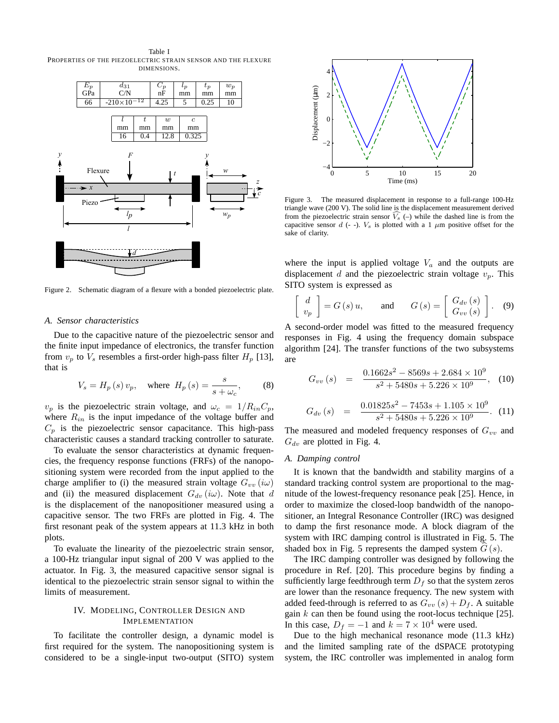Table I PROPERTIES OF THE PIEZOELECTRIC STRAIN SENSOR AND THE FLEXURE DIMENSIONS.



Figure 2. Schematic diagram of a flexure with a bonded piezoelectric plate.

## *A. Sensor characteristics*

Due to the capacitive nature of the piezoelectric sensor and the finite input impedance of electronics, the transfer function from  $v_p$  to  $V_s$  resembles a first-order high-pass filter  $H_p$  [13], that is

$$
V_s = H_p(s) v_p, \quad \text{where } H_p(s) = \frac{s}{s + \omega_c}, \tag{8}
$$

 $v_p$  is the piezoelectric strain voltage, and  $\omega_c = 1/R_{in}C_p$ , where  $R_{in}$  is the input impedance of the voltage buffer and  $C_p$  is the piezoelectric sensor capacitance. This high-pass characteristic causes a standard tracking controller to saturate.

To evaluate the sensor characteristics at dynamic frequencies, the frequency response functions (FRFs) of the nanopositioning system were recorded from the input applied to the charge amplifier to (i) the measured strain voltage  $G_{vv}$  (i $\omega$ ) and (ii) the measured displacement  $G_{dv} (i\omega)$ . Note that d is the displacement of the nanopositioner measured using a capacitive sensor. The two FRFs are plotted in Fig. 4. The first resonant peak of the system appears at 11.3 kHz in both plots.

To evaluate the linearity of the piezoelectric strain sensor, a 100-Hz triangular input signal of 200 V was applied to the actuator. In Fig. 3, the measured capacitive sensor signal is identical to the piezoelectric strain sensor signal to within the limits of measurement.

## IV. MODELING, CONTROLLER DESIGN AND IMPLEMENTATION

To facilitate the controller design, a dynamic model is first required for the system. The nanopositioning system is considered to be a single-input two-output (SITO) system



Figure 3. The measured displacement in response to a full-range 100-Hz triangle wave (200 V). The solid line is the displacement measurement derived from the piezoelectric strain sensor  $\widehat{V_s}$  (–) while the dashed line is from the capacitive sensor d (- -).  $V_s$  is plotted with a 1  $\mu$ m positive offset for the sake of clarity.

where the input is applied voltage  $V_a$  and the outputs are displacement d and the piezoelectric strain voltage  $v_p$ . This SITO system is expressed as

$$
\begin{bmatrix} d \\ v_p \end{bmatrix} = G(s) u, \quad \text{and} \quad G(s) = \begin{bmatrix} G_{dv}(s) \\ G_{vv}(s) \end{bmatrix}. \quad (9)
$$

A second-order model was fitted to the measured frequency responses in Fig. 4 using the frequency domain subspace algorithm [24]. The transfer functions of the two subsystems are

$$
G_{vv}(s) = \frac{0.1662s^2 - 8569s + 2.684 \times 10^9}{s^2 + 5480s + 5.226 \times 10^9}, (10)
$$

$$
G_{dv}(s) = \frac{0.01825s^2 - 7453s + 1.105 \times 10^9}{s^2 + 5480s + 5.226 \times 10^9}.
$$
 (11)

The measured and modeled frequency responses of  $G_{vv}$  and  $G_{dv}$  are plotted in Fig. 4.

## *A. Damping control*

It is known that the bandwidth and stability margins of a standard tracking control system are proportional to the magnitude of the lowest-frequency resonance peak [25]. Hence, in order to maximize the closed-loop bandwidth of the nanopositioner, an Integral Resonance Controller (IRC) was designed to damp the first resonance mode. A block diagram of the system with IRC damping control is illustrated in Fig. 5. The shaded box in Fig. 5 represents the damped system  $G(s)$ .

The IRC damping controller was designed by following the procedure in Ref. [20]. This procedure begins by finding a sufficiently large feedthrough term  $D_f$  so that the system zeros are lower than the resonance frequency. The new system with added feed-through is referred to as  $G_{vv}(s) + D_f$ . A suitable gain  $k$  can then be found using the root-locus technique [25]. In this case,  $D_f = -1$  and  $k = 7 \times 10^4$  were used.

Due to the high mechanical resonance mode (11.3 kHz) and the limited sampling rate of the dSPACE prototyping system, the IRC controller was implemented in analog form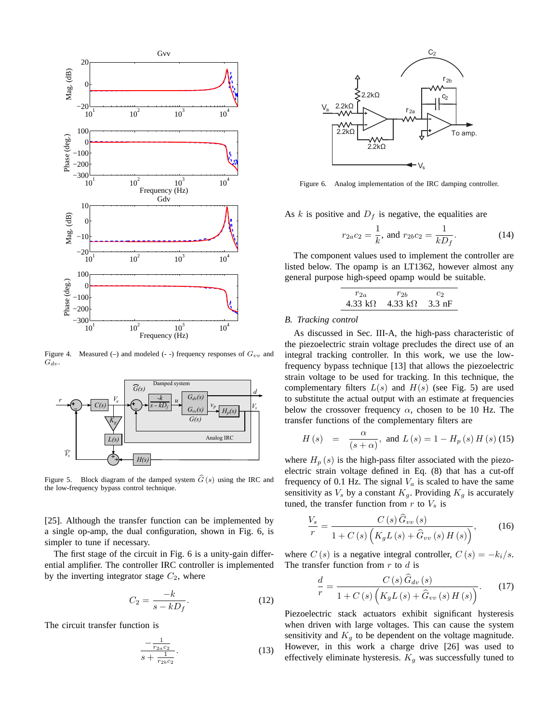

Figure 4. Measured (-) and modeled (- -) frequency responses of  $G_{vv}$  and  $G_{dv}$ .



Figure 5. Block diagram of the damped system  $\hat{G}(s)$  using the IRC and the low-frequency bypass control technique.

[25]. Although the transfer function can be implemented by a single op-amp, the dual configuration, shown in Fig. 6, is simpler to tune if necessary.

The first stage of the circuit in Fig. 6 is a unity-gain differential amplifier. The controller IRC controller is implemented by the inverting integrator stage  $C_2$ , where

$$
C_2 = \frac{-k}{s - kD_f}.\tag{12}
$$

The circuit transfer function is

$$
\frac{-\frac{1}{r_{2a}c_2}}{s + \frac{1}{r_{2b}c_2}}.\tag{13}
$$



Figure 6. Analog implementation of the IRC damping controller.

As k is positive and  $D_f$  is negative, the equalities are

$$
r_{2a}c_2 = \frac{1}{k}
$$
, and  $r_{2b}c_2 = \frac{1}{kD_f}$ . (14)

The component values used to implement the controller are listed below. The opamp is an LT1362, however almost any general purpose high-speed opamp would be suitable.

$$
\begin{array}{cc}\nr_{2a} & r_{2b} & c_2\\4.33 \ k\Omega & 4.33 \ k\Omega & 3.3 \ nF\n\end{array}
$$

## *B. Tracking control*

As discussed in Sec. III-A, the high-pass characteristic of the piezoelectric strain voltage precludes the direct use of an integral tracking controller. In this work, we use the lowfrequency bypass technique [13] that allows the piezoelectric strain voltage to be used for tracking. In this technique, the complementary filters  $L(s)$  and  $H(s)$  (see Fig. 5) are used to substitute the actual output with an estimate at frequencies below the crossover frequency  $\alpha$ , chosen to be 10 Hz. The transfer functions of the complementary filters are

$$
H(s) = \frac{\alpha}{(s+\alpha)}
$$
, and  $L(s) = 1 - H_p(s) H(s)$  (15)

where  $H_p(s)$  is the high-pass filter associated with the piezoelectric strain voltage defined in Eq. (8) that has a cut-off frequency of 0.1 Hz. The signal  $V_a$  is scaled to have the same sensitivity as  $V_s$  by a constant  $K_a$ . Providing  $K_a$  is accurately tuned, the transfer function from  $r$  to  $V_s$  is

$$
\frac{V_s}{r} = \frac{C\left(s\right)\widehat{G}_{vv}\left(s\right)}{1 + C\left(s\right)\left(K_g L\left(s\right) + \widehat{G}_{vv}\left(s\right)H\left(s\right)\right)},\tag{16}
$$

where  $C(s)$  is a negative integral controller,  $C(s) = -k_i/s$ . The transfer function from  $r$  to  $d$  is

$$
\frac{d}{r} = \frac{C\left(s\right)\widehat{G}_{dv}\left(s\right)}{1 + C\left(s\right)\left(K_g L\left(s\right) + \widehat{G}_{vv}\left(s\right)H\left(s\right)\right)}.\tag{17}
$$

Piezoelectric stack actuators exhibit significant hysteresis when driven with large voltages. This can cause the system sensitivity and  $K_g$  to be dependent on the voltage magnitude. However, in this work a charge drive [26] was used to effectively eliminate hysteresis.  $K_g$  was successfully tuned to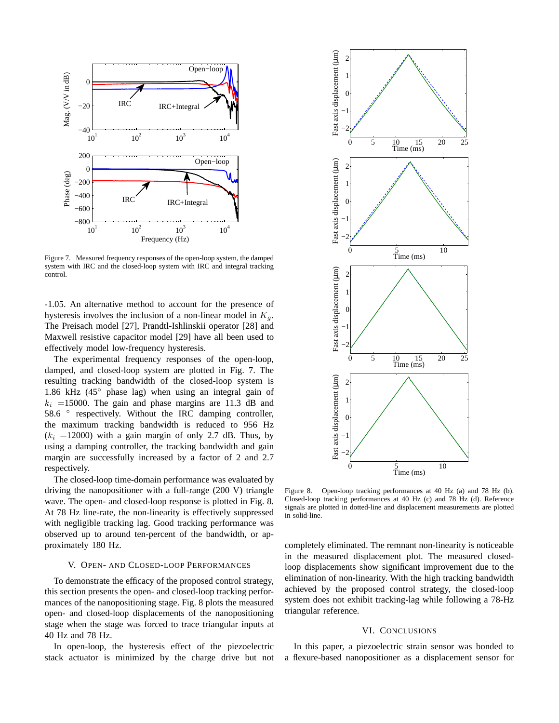

Figure 7. Measured frequency responses of the open-loop system, the damped system with IRC and the closed-loop system with IRC and integral tracking control.

-1.05. An alternative method to account for the presence of hysteresis involves the inclusion of a non-linear model in  $K_q$ . The Preisach model [27], Prandtl-Ishlinskii operator [28] and Maxwell resistive capacitor model [29] have all been used to effectively model low-frequency hysteresis.

The experimental frequency responses of the open-loop, damped, and closed-loop system are plotted in Fig. 7. The resulting tracking bandwidth of the closed-loop system is 1.86 kHz (45◦ phase lag) when using an integral gain of  $k_i$  =15000. The gain and phase margins are 11.3 dB and 58.6 ° respectively. Without the IRC damping controller, the maximum tracking bandwidth is reduced to 956 Hz  $(k<sub>i</sub> =12000)$  with a gain margin of only 2.7 dB. Thus, by using a damping controller, the tracking bandwidth and gain margin are successfully increased by a factor of 2 and 2.7 respectively.

The closed-loop time-domain performance was evaluated by driving the nanopositioner with a full-range (200 V) triangle wave. The open- and closed-loop response is plotted in Fig. 8. At 78 Hz line-rate, the non-linearity is effectively suppressed with negligible tracking lag. Good tracking performance was observed up to around ten-percent of the bandwidth, or approximately 180 Hz.

## V. OPEN- AND CLOSED-LOOP PERFORMANCES

To demonstrate the efficacy of the proposed control strategy, this section presents the open- and closed-loop tracking performances of the nanopositioning stage. Fig. 8 plots the measured open- and closed-loop displacements of the nanopositioning stage when the stage was forced to trace triangular inputs at 40 Hz and 78 Hz.

In open-loop, the hysteresis effect of the piezoelectric stack actuator is minimized by the charge drive but not



Figure 8. Open-loop tracking performances at 40 Hz (a) and 78 Hz (b). Closed-loop tracking performances at 40 Hz (c) and 78 Hz (d). Reference signals are plotted in dotted-line and displacement measurements are plotted in solid-line.

completely eliminated. The remnant non-linearity is noticeable in the measured displacement plot. The measured closedloop displacements show significant improvement due to the elimination of non-linearity. With the high tracking bandwidth achieved by the proposed control strategy, the closed-loop system does not exhibit tracking-lag while following a 78-Hz triangular reference.

## VI. CONCLUSIONS

In this paper, a piezoelectric strain sensor was bonded to a flexure-based nanopositioner as a displacement sensor for